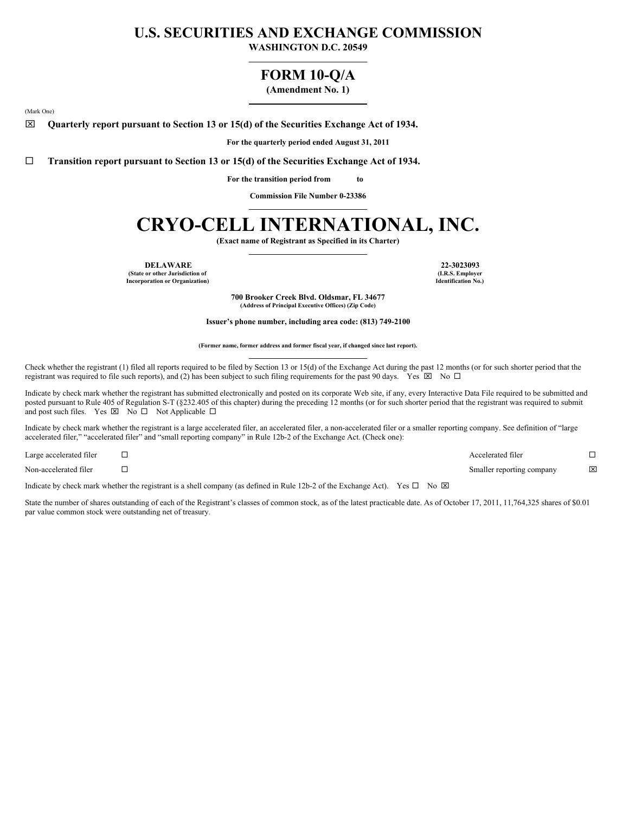## **U.S. SECURITIES AND EXCHANGE COMMISSION**

**WASHINGTON D.C. 20549**

### **FORM 10-Q/A**

**(Amendment No. 1)**

(Mark One)

x **Quarterly report pursuant to Section 13 or 15(d) of the Securities Exchange Act of 1934.**

**For the quarterly period ended August 31, 2011**

¨ **Transition report pursuant to Section 13 or 15(d) of the Securities Exchange Act of 1934.**

**For the transition period from to**

**Commission File Number 0-23386**

# **CRYO-CELL INTERNATIONAL, INC.**

**(Exact name of Registrant as Specified in its Charter)**

**DELAWARE 22-3023093**

**(State or other Jurisdiction of Incorporation or Organization)**

**(I.R.S. Employer Identification No.)**

**700 Brooker Creek Blvd. Oldsmar, FL 34677 (Address of Principal Executive Offices) (Zip Code)**

**Issuer's phone number, including area code: (813) 749-2100**

**(Former name, former address and former fiscal year, if changed since last report).**

Check whether the registrant (1) filed all reports required to be filed by Section 13 or 15(d) of the Exchange Act during the past 12 months (or for such shorter period that the registrant was required to file such reports), and (2) has been subject to such filing requirements for the past 90 days. Yes  $\boxtimes$  No  $\Box$ 

Indicate by check mark whether the registrant has submitted electronically and posted on its corporate Web site, if any, every Interactive Data File required to be submitted and posted pursuant to Rule 405 of Regulation S-T (§232.405 of this chapter) during the preceding 12 months (or for such shorter period that the registrant was required to submit and post such files. Yes  $\boxtimes$  No  $\square$  Not Applicable  $\square$ 

Indicate by check mark whether the registrant is a large accelerated filer, an accelerated filer, a non-accelerated filer or a smaller reporting company. See definition of "large accelerated filer," "accelerated filer" and "small reporting company" in Rule 12b-2 of the Exchange Act. (Check one):

| Large accelerated filer | Accelerated filer         |     |
|-------------------------|---------------------------|-----|
| Non-accelerated filer   | Smaller reporting company | ΙXΙ |

Indicate by check mark whether the registrant is a shell company (as defined in Rule 12b-2 of the Exchange Act). Yes  $\Box$  No  $\boxtimes$ 

State the number of shares outstanding of each of the Registrant's classes of common stock, as of the latest practicable date. As of October 17, 2011, 11,764,325 shares of \$0.01 par value common stock were outstanding net of treasury.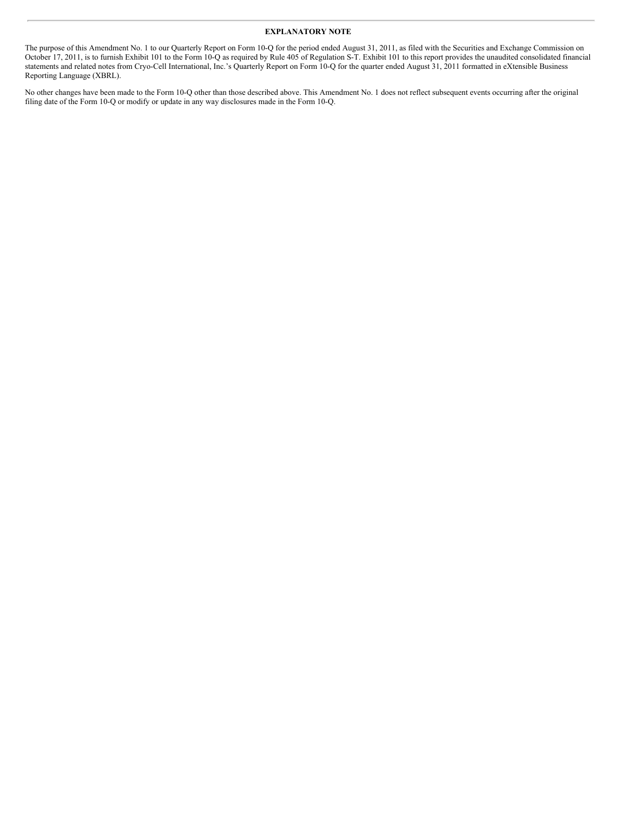#### **EXPLANATORY NOTE**

The purpose of this Amendment No. 1 to our Quarterly Report on Form 10-Q for the period ended August 31, 2011, as filed with the Securities and Exchange Commission on October 17, 2011, is to furnish Exhibit 101 to the Form 10-Q as required by Rule 405 of Regulation S-T. Exhibit 101 to this report provides the unaudited consolidated financial statements and related notes from Cryo-Cell International, Inc.'s Quarterly Report on Form 10-Q for the quarter ended August 31, 2011 formatted in eXtensible Business Reporting Language (XBRL).

No other changes have been made to the Form 10-Q other than those described above. This Amendment No. 1 does not reflect subsequent events occurring after the original filing date of the Form 10-Q or modify or update in any way disclosures made in the Form 10-Q.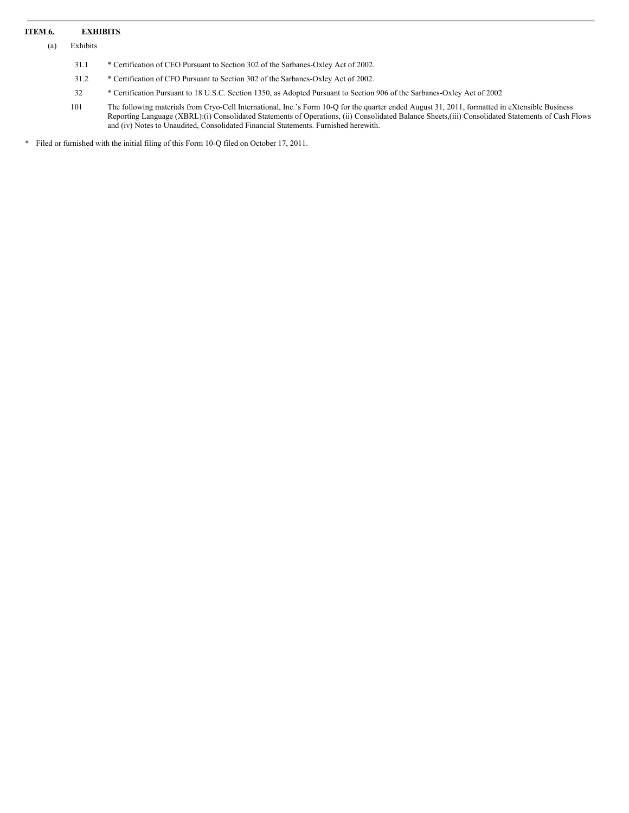#### **ITEM 6. EXHIBITS**

(a) Exhibits

- 31.1 \* Certification of CEO Pursuant to Section 302 of the Sarbanes-Oxley Act of 2002.
- 31.2 \* Certification of CFO Pursuant to Section 302 of the Sarbanes-Oxley Act of 2002.
- 32 \* Certification Pursuant to 18 U.S.C. Section 1350, as Adopted Pursuant to Section 906 of the Sarbanes-Oxley Act of 2002
- 101 The following materials from Cryo-Cell International, Inc.'s Form 10-Q for the quarter ended August 31, 2011, formatted in eXtensible Business Reporting Language (XBRL):(i) Consolidated Statements of Operations, (ii) Consolidated Balance Sheets,(iii) Consolidated Statements of Cash Flows and (iv) Notes to Unaudited, Consolidated Financial Statements. Furnished herewith.

\* Filed or furnished with the initial filing of this Form 10-Q filed on October 17, 2011.